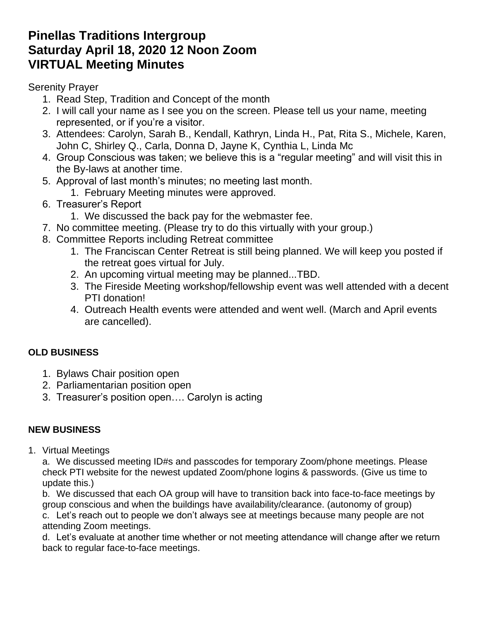# **Pinellas Traditions Intergroup Saturday April 18, 2020 12 Noon Zoom VIRTUAL Meeting Minutes**

Serenity Prayer

- 1. Read Step, Tradition and Concept of the month
- 2. I will call your name as I see you on the screen. Please tell us your name, meeting represented, or if you're a visitor.
- 3. Attendees: Carolyn, Sarah B., Kendall, Kathryn, Linda H., Pat, Rita S., Michele, Karen, John C, Shirley Q., Carla, Donna D, Jayne K, Cynthia L, Linda Mc
- 4. Group Conscious was taken; we believe this is a "regular meeting" and will visit this in the By-laws at another time.
- 5. Approval of last month's minutes; no meeting last month.
	- 1. February Meeting minutes were approved.
- 6. Treasurer's Report
	- 1. We discussed the back pay for the webmaster fee.
- 7. No committee meeting. (Please try to do this virtually with your group.)
- 8. Committee Reports including Retreat committee
	- 1. The Franciscan Center Retreat is still being planned. We will keep you posted if the retreat goes virtual for July.
	- 2. An upcoming virtual meeting may be planned...TBD.
	- 3. The Fireside Meeting workshop/fellowship event was well attended with a decent PTI donation!
	- 4. Outreach Health events were attended and went well. (March and April events are cancelled).

## **OLD BUSINESS**

- 1. Bylaws Chair position open
- 2. Parliamentarian position open
- 3. Treasurer's position open…. Carolyn is acting

## **NEW BUSINESS**

1. Virtual Meetings

a. We discussed meeting ID#s and passcodes for temporary Zoom/phone meetings. Please check PTI website for the newest updated Zoom/phone logins & passwords. (Give us time to update this.)

b. We discussed that each OA group will have to transition back into face-to-face meetings by group conscious and when the buildings have availability/clearance. (autonomy of group) c. Let's reach out to people we don't always see at meetings because many people are not attending Zoom meetings.

d. Let's evaluate at another time whether or not meeting attendance will change after we return back to regular face-to-face meetings.